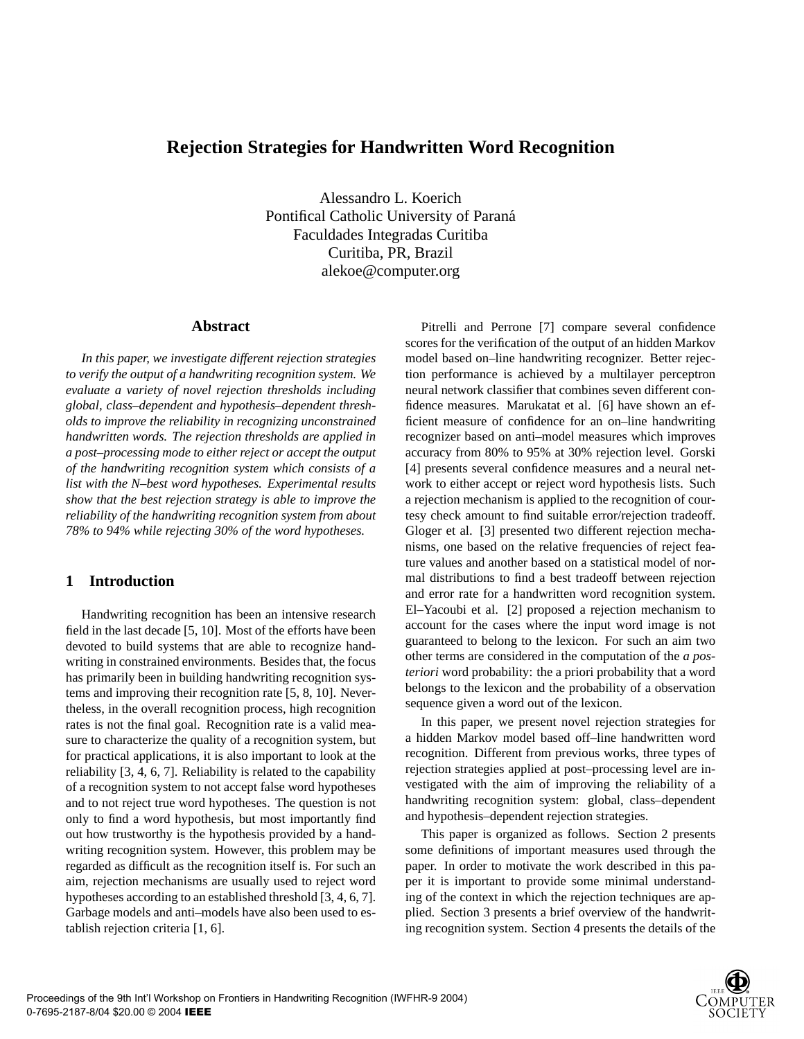# **Rejection Strategies for Handwritten Word Recognition**

Alessandro L. Koerich Pontifical Catholic University of Paraná Faculdades Integradas Curitiba Curitiba, PR, Brazil alekoe@computer.org

## **Abstract**

*In this paper, we investigate different rejection strategies to verify the output of a handwriting recognition system. We evaluate a variety of novel rejection thresholds including global, class–dependent and hypothesis–dependent thresholds to improve the reliability in recognizing unconstrained handwritten words. The rejection thresholds are applied in a post–processing mode to either reject or accept the output of the handwriting recognition system which consists of a list with the N–best word hypotheses. Experimental results show that the best rejection strategy is able to improve the reliability of the handwriting recognition system from about 78% to 94% while rejecting 30% of the word hypotheses.*

## **1 Introduction**

Handwriting recognition has been an intensive research field in the last decade [5, 10]. Most of the efforts have been devoted to build systems that are able to recognize handwriting in constrained environments. Besides that, the focus has primarily been in building handwriting recognition systems and improving their recognition rate [5, 8, 10]. Nevertheless, in the overall recognition process, high recognition rates is not the final goal. Recognition rate is a valid measure to characterize the quality of a recognition system, but for practical applications, it is also important to look at the reliability [3, 4, 6, 7]. Reliability is related to the capability of a recognition system to not accept false word hypotheses and to not reject true word hypotheses. The question is not only to find a word hypothesis, but most importantly find out how trustworthy is the hypothesis provided by a handwriting recognition system. However, this problem may be regarded as difficult as the recognition itself is. For such an aim, rejection mechanisms are usually used to reject word hypotheses according to an established threshold [3, 4, 6, 7]. Garbage models and anti–models have also been used to establish rejection criteria [1, 6].

Pitrelli and Perrone [7] compare several confidence scores for the verification of the output of an hidden Markov model based on–line handwriting recognizer. Better rejection performance is achieved by a multilayer perceptron neural network classifier that combines seven different confidence measures. Marukatat et al. [6] have shown an efficient measure of confidence for an on–line handwriting recognizer based on anti–model measures which improves accuracy from 80% to 95% at 30% rejection level. Gorski [4] presents several confidence measures and a neural network to either accept or reject word hypothesis lists. Such a rejection mechanism is applied to the recognition of courtesy check amount to find suitable error/rejection tradeoff. Gloger et al. [3] presented two different rejection mechanisms, one based on the relative frequencies of reject feature values and another based on a statistical model of normal distributions to find a best tradeoff between rejection and error rate for a handwritten word recognition system. El–Yacoubi et al. [2] proposed a rejection mechanism to account for the cases where the input word image is not guaranteed to belong to the lexicon. For such an aim two other terms are considered in the computation of the *a posteriori* word probability: the a priori probability that a word belongs to the lexicon and the probability of a observation sequence given a word out of the lexicon.

In this paper, we present novel rejection strategies for a hidden Markov model based off–line handwritten word recognition. Different from previous works, three types of rejection strategies applied at post–processing level are investigated with the aim of improving the reliability of a handwriting recognition system: global, class–dependent and hypothesis–dependent rejection strategies.

This paper is organized as follows. Section 2 presents some definitions of important measures used through the paper. In order to motivate the work described in this paper it is important to provide some minimal understanding of the context in which the rejection techniques are applied. Section 3 presents a brief overview of the handwriting recognition system. Section 4 presents the details of the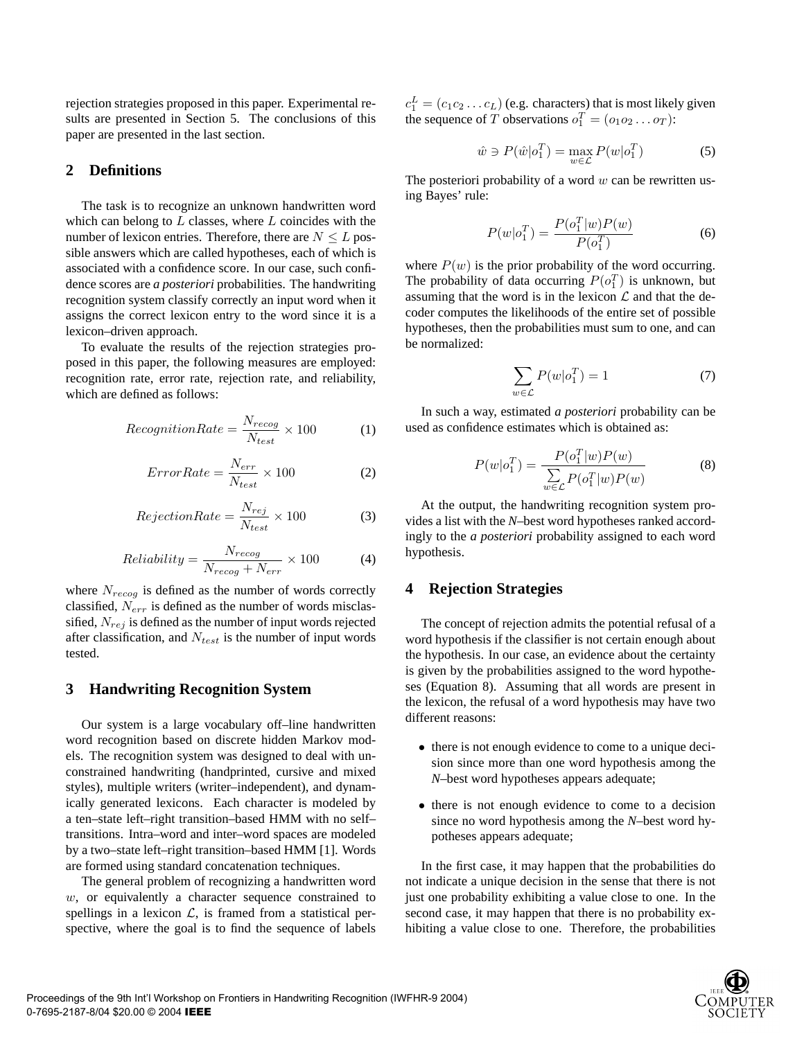rejection strategies proposed in this paper. Experimental results are presented in Section 5. The conclusions of this paper are presented in the last section.

## **2 Definitions**

The task is to recognize an unknown handwritten word which can belong to  $L$  classes, where  $L$  coincides with the number of lexicon entries. Therefore, there are  $N \leq L$  possible answers which are called hypotheses, each of which is associated with a confidence score. In our case, such confidence scores are *a posteriori* probabilities. The handwriting recognition system classify correctly an input word when it assigns the correct lexicon entry to the word since it is a lexicon–driven approach.

To evaluate the results of the rejection strategies proposed in this paper, the following measures are employed: recognition rate, error rate, rejection rate, and reliability, which are defined as follows:

$$
ReognitionRate = \frac{N_{recog}}{N_{test}} \times 100
$$
 (1)

$$
ErrorRate = \frac{N_{err}}{N_{test}} \times 100\tag{2}
$$

$$
RejectionRate = \frac{N_{rej}}{N_{test}} \times 100\tag{3}
$$

$$
Reliability = \frac{N_{recog}}{N_{recog} + N_{err}} \times 100\tag{4}
$$

where  $N_{recog}$  is defined as the number of words correctly classified,  $N_{err}$  is defined as the number of words misclassified,  $N_{rej}$  is defined as the number of input words rejected after classification, and  $N_{test}$  is the number of input words tested.

## **3 Handwriting Recognition System**

Our system is a large vocabulary off–line handwritten word recognition based on discrete hidden Markov models. The recognition system was designed to deal with unconstrained handwriting (handprinted, cursive and mixed styles), multiple writers (writer–independent), and dynamically generated lexicons. Each character is modeled by a ten–state left–right transition–based HMM with no self– transitions. Intra–word and inter–word spaces are modeled by a two–state left–right transition–based HMM [1]. Words are formed using standard concatenation techniques.

The general problem of recognizing a handwritten word  $w$ , or equivalently a character sequence constrained to spellings in a lexicon  $\mathcal{L}$ , is framed from a statistical perspective, where the goal is to find the sequence of labels

 $c_1^L = (c_1 c_2 \dots c_L)$  (e.g. characters) that is most likely given the sequence of T observations  $o_1^T = (o_1 o_2 \dots o_T)$ :

$$
\hat{w} \ni P(\hat{w}|\mathbf{o}_1^T) = \max_{w \in \mathcal{L}} P(w|\mathbf{o}_1^T)
$$
 (5)

The posteriori probability of a word  $w$  can be rewritten using Bayes' rule:

$$
P(w|\mathbf{o}_1^T) = \frac{P(\mathbf{o}_1^T|w)P(w)}{P(\mathbf{o}_1^T)}
$$
(6)

where  $P(w)$  is the prior probability of the word occurring. The probability of data occurring  $P(o_1^T)$  is unknown, but assuming that the word is in the lexicon  $\mathcal L$  and that the decoder computes the likelihoods of the entire set of possible hypotheses, then the probabilities must sum to one, and can be normalized:

$$
\sum_{w \in \mathcal{L}} P(w|o_1^T) = 1 \tag{7}
$$

In such a way, estimated *a posteriori* probability can be used as confidence estimates which is obtained as:

$$
P(w|o_1^T) = \frac{P(o_1^T|w)P(w)}{\sum_{w \in \mathcal{L}} P(o_1^T|w)P(w)}
$$
(8)

At the output, the handwriting recognition system provides a list with the *N*–best word hypotheses ranked accordingly to the *a posteriori* probability assigned to each word hypothesis.

### **4 Rejection Strategies**

The concept of rejection admits the potential refusal of a word hypothesis if the classifier is not certain enough about the hypothesis. In our case, an evidence about the certainty is given by the probabilities assigned to the word hypotheses (Equation 8). Assuming that all words are present in the lexicon, the refusal of a word hypothesis may have two different reasons:

- there is not enough evidence to come to a unique decision since more than one word hypothesis among the *N*–best word hypotheses appears adequate;
- there is not enough evidence to come to a decision since no word hypothesis among the *N*–best word hypotheses appears adequate;

In the first case, it may happen that the probabilities do not indicate a unique decision in the sense that there is not just one probability exhibiting a value close to one. In the second case, it may happen that there is no probability exhibiting a value close to one. Therefore, the probabilities

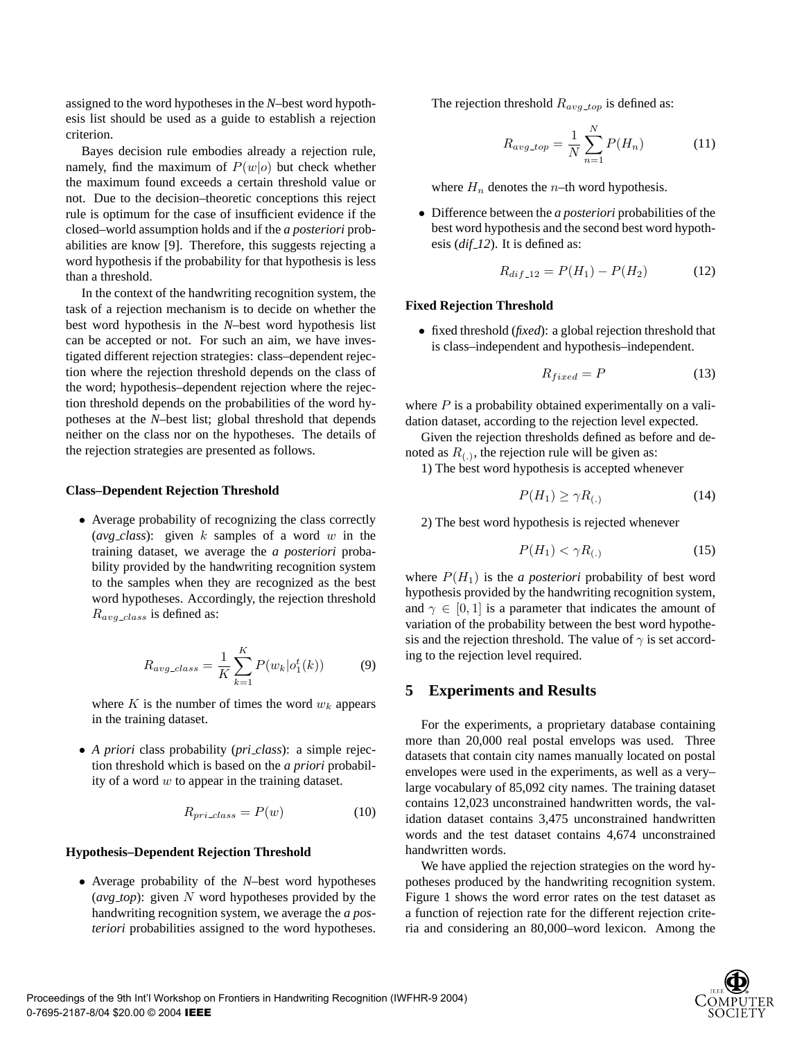assigned to the word hypotheses in the *N*–best word hypothesis list should be used as a guide to establish a rejection criterion.

Bayes decision rule embodies already a rejection rule, namely, find the maximum of  $P(w|o)$  but check whether the maximum found exceeds a certain threshold value or not. Due to the decision–theoretic conceptions this reject rule is optimum for the case of insufficient evidence if the closed–world assumption holds and if the *a posteriori* probabilities are know [9]. Therefore, this suggests rejecting a word hypothesis if the probability for that hypothesis is less than a threshold.

In the context of the handwriting recognition system, the task of a rejection mechanism is to decide on whether the best word hypothesis in the *N*–best word hypothesis list can be accepted or not. For such an aim, we have investigated different rejection strategies: class–dependent rejection where the rejection threshold depends on the class of the word; hypothesis–dependent rejection where the rejection threshold depends on the probabilities of the word hypotheses at the *N*–best list; global threshold that depends neither on the class nor on the hypotheses. The details of the rejection strategies are presented as follows.

#### **Class–Dependent Rejection Threshold**

• Average probability of recognizing the class correctly  $(\textit{avg}\_\textit{class})$ : given k samples of a word w in the training dataset, we average the *a posteriori* probability provided by the handwriting recognition system to the samples when they are recognized as the best word hypotheses. Accordingly, the rejection threshold  $R_{avg\_class}$  is defined as:

$$
R_{avg\_class} = \frac{1}{K} \sum_{k=1}^{K} P(w_k | o_1^t(k))
$$
 (9)

where K is the number of times the word  $w_k$  appears in the training dataset.

• *A priori* class probability (*pri class*): a simple rejection threshold which is based on the *a priori* probability of a word  $w$  to appear in the training dataset.

$$
R_{pri\_class} = P(w) \tag{10}
$$

#### **Hypothesis–Dependent Rejection Threshold**

• Average probability of the *N*–best word hypotheses  $(\textit{avg\_top})$ : given N word hypotheses provided by the handwriting recognition system, we average the *a posteriori* probabilities assigned to the word hypotheses. The rejection threshold  $R_{avg\_top}$  is defined as:

$$
R_{avg\_top} = \frac{1}{N} \sum_{n=1}^{N} P(H_n)
$$
 (11)

where  $H_n$  denotes the *n*–th word hypothesis.

• Difference between the *a posteriori* probabilities of the best word hypothesis and the second best word hypothesis (*dif 12*). It is defined as:

$$
R_{dif\_12} = P(H_1) - P(H_2)
$$
 (12)

#### **Fixed Rejection Threshold**

• fixed threshold (*fixed*): a global rejection threshold that is class–independent and hypothesis–independent.

$$
R_{fixed} = P \tag{13}
$$

where  $P$  is a probability obtained experimentally on a validation dataset, according to the rejection level expected.

Given the rejection thresholds defined as before and denoted as  $R_{(.)}$ , the rejection rule will be given as:

1) The best word hypothesis is accepted whenever

$$
P(H_1) \ge \gamma R_{(.)} \tag{14}
$$

2) The best word hypothesis is rejected whenever

$$
P(H_1) < \gamma R_{(.)} \tag{15}
$$

where  $P(H_1)$  is the *a posteriori* probability of best word hypothesis provided by the handwriting recognition system, and  $\gamma \in [0, 1]$  is a parameter that indicates the amount of variation of the probability between the best word hypothesis and the rejection threshold. The value of  $\gamma$  is set according to the rejection level required.

#### **5 Experiments and Results**

For the experiments, a proprietary database containing more than 20,000 real postal envelops was used. Three datasets that contain city names manually located on postal envelopes were used in the experiments, as well as a very– large vocabulary of 85,092 city names. The training dataset contains 12,023 unconstrained handwritten words, the validation dataset contains 3,475 unconstrained handwritten words and the test dataset contains 4,674 unconstrained handwritten words.

We have applied the rejection strategies on the word hypotheses produced by the handwriting recognition system. Figure 1 shows the word error rates on the test dataset as a function of rejection rate for the different rejection criteria and considering an 80,000–word lexicon. Among the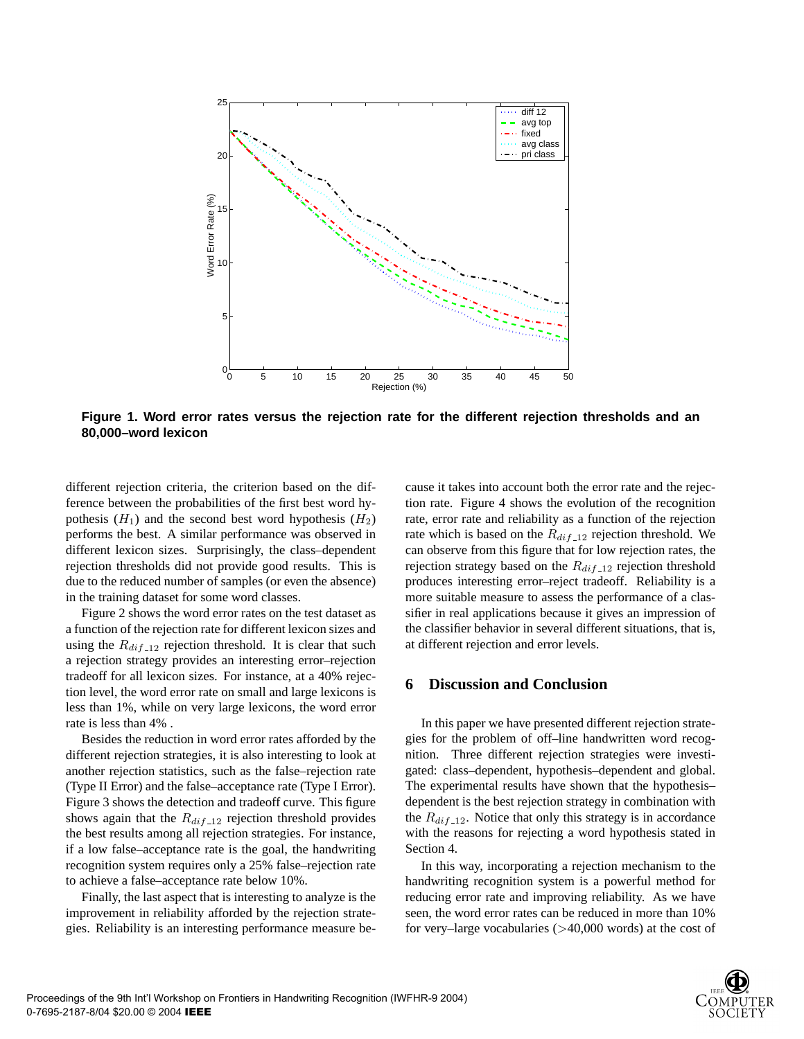

**Figure 1. Word error rates versus the rejection rate for the different rejection thresholds and an 80,000–word lexicon**

different rejection criteria, the criterion based on the difference between the probabilities of the first best word hypothesis  $(H_1)$  and the second best word hypothesis  $(H_2)$ performs the best. A similar performance was observed in different lexicon sizes. Surprisingly, the class–dependent rejection thresholds did not provide good results. This is due to the reduced number of samples (or even the absence) in the training dataset for some word classes.

Figure 2 shows the word error rates on the test dataset as a function of the rejection rate for different lexicon sizes and using the  $R_{dif-12}$  rejection threshold. It is clear that such a rejection strategy provides an interesting error–rejection tradeoff for all lexicon sizes. For instance, at a 40% rejection level, the word error rate on small and large lexicons is less than 1%, while on very large lexicons, the word error rate is less than 4% .

Besides the reduction in word error rates afforded by the different rejection strategies, it is also interesting to look at another rejection statistics, such as the false–rejection rate (Type II Error) and the false–acceptance rate (Type I Error). Figure 3 shows the detection and tradeoff curve. This figure shows again that the  $R_{dif-12}$  rejection threshold provides the best results among all rejection strategies. For instance, if a low false–acceptance rate is the goal, the handwriting recognition system requires only a 25% false–rejection rate to achieve a false–acceptance rate below 10%.

Finally, the last aspect that is interesting to analyze is the improvement in reliability afforded by the rejection strategies. Reliability is an interesting performance measure because it takes into account both the error rate and the rejection rate. Figure 4 shows the evolution of the recognition rate, error rate and reliability as a function of the rejection rate which is based on the  $R_{dif-12}$  rejection threshold. We can observe from this figure that for low rejection rates, the rejection strategy based on the  $R_{dif-12}$  rejection threshold produces interesting error–reject tradeoff. Reliability is a more suitable measure to assess the performance of a classifier in real applications because it gives an impression of the classifier behavior in several different situations, that is, at different rejection and error levels.

## **6 Discussion and Conclusion**

In this paper we have presented different rejection strategies for the problem of off–line handwritten word recognition. Three different rejection strategies were investigated: class–dependent, hypothesis–dependent and global. The experimental results have shown that the hypothesis– dependent is the best rejection strategy in combination with the  $R_{dif-12}$ . Notice that only this strategy is in accordance with the reasons for rejecting a word hypothesis stated in Section 4.

In this way, incorporating a rejection mechanism to the handwriting recognition system is a powerful method for reducing error rate and improving reliability. As we have seen, the word error rates can be reduced in more than 10% for very–large vocabularies (>40,000 words) at the cost of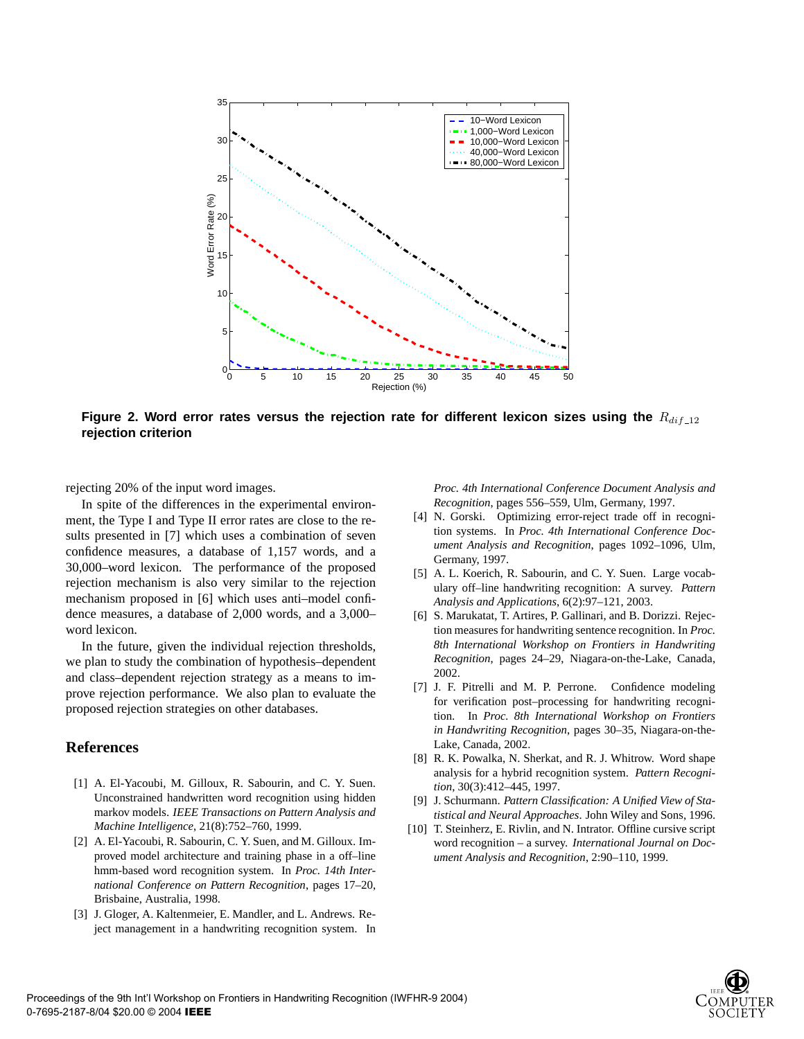

Figure 2. Word error rates versus the rejection rate for different lexicon sizes using the  $R_{dif-12}$ **rejection criterion**

rejecting 20% of the input word images.

In spite of the differences in the experimental environment, the Type I and Type II error rates are close to the results presented in [7] which uses a combination of seven confidence measures, a database of 1,157 words, and a 30,000–word lexicon. The performance of the proposed rejection mechanism is also very similar to the rejection mechanism proposed in [6] which uses anti–model confidence measures, a database of 2,000 words, and a 3,000– word lexicon.

In the future, given the individual rejection thresholds, we plan to study the combination of hypothesis–dependent and class–dependent rejection strategy as a means to improve rejection performance. We also plan to evaluate the proposed rejection strategies on other databases.

## **References**

- [1] A. El-Yacoubi, M. Gilloux, R. Sabourin, and C. Y. Suen. Unconstrained handwritten word recognition using hidden markov models. *IEEE Transactions on Pattern Analysis and Machine Intelligence*, 21(8):752–760, 1999.
- [2] A. El-Yacoubi, R. Sabourin, C. Y. Suen, and M. Gilloux. Improved model architecture and training phase in a off–line hmm-based word recognition system. In *Proc. 14th International Conference on Pattern Recognition*, pages 17–20, Brisbaine, Australia, 1998.
- [3] J. Gloger, A. Kaltenmeier, E. Mandler, and L. Andrews. Reject management in a handwriting recognition system. In

*Proc. 4th International Conference Document Analysis and Recognition*, pages 556–559, Ulm, Germany, 1997.

- [4] N. Gorski. Optimizing error-reject trade off in recognition systems. In *Proc. 4th International Conference Document Analysis and Recognition*, pages 1092–1096, Ulm, Germany, 1997.
- [5] A. L. Koerich, R. Sabourin, and C. Y. Suen. Large vocabulary off–line handwriting recognition: A survey. *Pattern Analysis and Applications*, 6(2):97–121, 2003.
- [6] S. Marukatat, T. Artires, P. Gallinari, and B. Dorizzi. Rejection measures for handwriting sentence recognition. In *Proc. 8th International Workshop on Frontiers in Handwriting Recognition*, pages 24–29, Niagara-on-the-Lake, Canada, 2002.
- [7] J. F. Pitrelli and M. P. Perrone. Confidence modeling for verification post–processing for handwriting recognition. In *Proc. 8th International Workshop on Frontiers in Handwriting Recognition*, pages 30–35, Niagara-on-the-Lake, Canada, 2002.
- [8] R. K. Powalka, N. Sherkat, and R. J. Whitrow. Word shape analysis for a hybrid recognition system. *Pattern Recognition*, 30(3):412–445, 1997.
- [9] J. Schurmann. *Pattern Classification: A Unified View of Statistical and Neural Approaches*. John Wiley and Sons, 1996.
- [10] T. Steinherz, E. Rivlin, and N. Intrator. Offline cursive script word recognition – a survey. *International Journal on Document Analysis and Recognition*, 2:90–110, 1999.